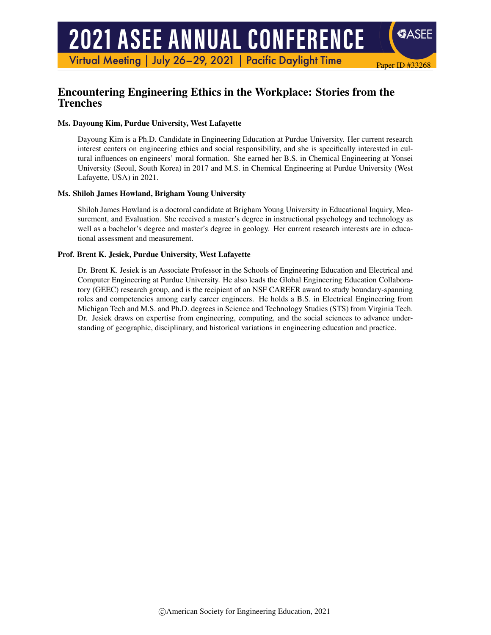# **2021 ASEE ANNUAL CONFERENCE**

Virtual Meeting | July 26-29, 2021 | Pacific Daylight Time

## Encountering Engineering Ethics in the Workplace: Stories from the Trenches

#### Ms. Dayoung Kim, Purdue University, West Lafayette

Dayoung Kim is a Ph.D. Candidate in Engineering Education at Purdue University. Her current research interest centers on engineering ethics and social responsibility, and she is specifically interested in cultural influences on engineers' moral formation. She earned her B.S. in Chemical Engineering at Yonsei University (Seoul, South Korea) in 2017 and M.S. in Chemical Engineering at Purdue University (West Lafayette, USA) in 2021.

Paper ID #33268

**SASEE** 

#### Ms. Shiloh James Howland, Brigham Young University

Shiloh James Howland is a doctoral candidate at Brigham Young University in Educational Inquiry, Measurement, and Evaluation. She received a master's degree in instructional psychology and technology as well as a bachelor's degree and master's degree in geology. Her current research interests are in educational assessment and measurement.

#### Prof. Brent K. Jesiek, Purdue University, West Lafayette

Dr. Brent K. Jesiek is an Associate Professor in the Schools of Engineering Education and Electrical and Computer Engineering at Purdue University. He also leads the Global Engineering Education Collaboratory (GEEC) research group, and is the recipient of an NSF CAREER award to study boundary-spanning roles and competencies among early career engineers. He holds a B.S. in Electrical Engineering from Michigan Tech and M.S. and Ph.D. degrees in Science and Technology Studies (STS) from Virginia Tech. Dr. Jesiek draws on expertise from engineering, computing, and the social sciences to advance understanding of geographic, disciplinary, and historical variations in engineering education and practice.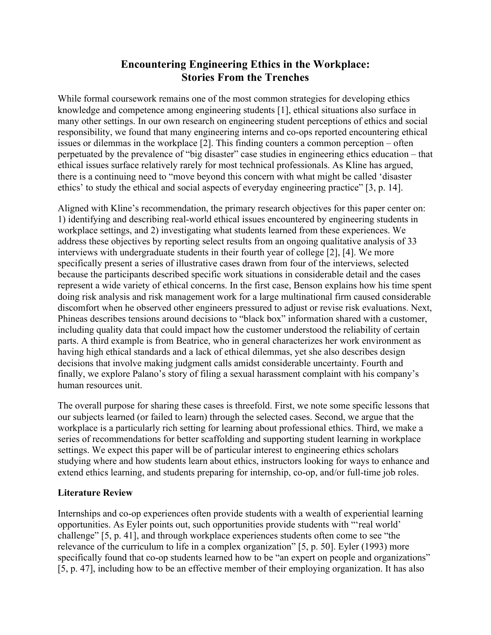# **Encountering Engineering Ethics in the Workplace: Stories From the Trenches**

While formal coursework remains one of the most common strategies for developing ethics knowledge and competence among engineering students [1], ethical situations also surface in many other settings. In our own research on engineering student perceptions of ethics and social responsibility, we found that many engineering interns and co-ops reported encountering ethical issues or dilemmas in the workplace [2]. This finding counters a common perception – often perpetuated by the prevalence of "big disaster" case studies in engineering ethics education – that ethical issues surface relatively rarely for most technical professionals. As Kline has argued, there is a continuing need to "move beyond this concern with what might be called 'disaster ethics' to study the ethical and social aspects of everyday engineering practice" [3, p. 14].

Aligned with Kline's recommendation, the primary research objectives for this paper center on: 1) identifying and describing real-world ethical issues encountered by engineering students in workplace settings, and 2) investigating what students learned from these experiences. We address these objectives by reporting select results from an ongoing qualitative analysis of 33 interviews with undergraduate students in their fourth year of college [2], [4]. We more specifically present a series of illustrative cases drawn from four of the interviews, selected because the participants described specific work situations in considerable detail and the cases represent a wide variety of ethical concerns. In the first case, Benson explains how his time spent doing risk analysis and risk management work for a large multinational firm caused considerable discomfort when he observed other engineers pressured to adjust or revise risk evaluations. Next, Phineas describes tensions around decisions to "black box" information shared with a customer, including quality data that could impact how the customer understood the reliability of certain parts. A third example is from Beatrice, who in general characterizes her work environment as having high ethical standards and a lack of ethical dilemmas, yet she also describes design decisions that involve making judgment calls amidst considerable uncertainty. Fourth and finally, we explore Palano's story of filing a sexual harassment complaint with his company's human resources unit.

The overall purpose for sharing these cases is threefold. First, we note some specific lessons that our subjects learned (or failed to learn) through the selected cases. Second, we argue that the workplace is a particularly rich setting for learning about professional ethics. Third, we make a series of recommendations for better scaffolding and supporting student learning in workplace settings. We expect this paper will be of particular interest to engineering ethics scholars studying where and how students learn about ethics, instructors looking for ways to enhance and extend ethics learning, and students preparing for internship, co-op, and/or full-time job roles.

## **Literature Review**

Internships and co-op experiences often provide students with a wealth of experiential learning opportunities. As Eyler points out, such opportunities provide students with "'real world' challenge" [5, p. 41], and through workplace experiences students often come to see "the relevance of the curriculum to life in a complex organization" [5, p. 50]. Eyler (1993) more specifically found that co-op students learned how to be "an expert on people and organizations" [5, p. 47], including how to be an effective member of their employing organization. It has also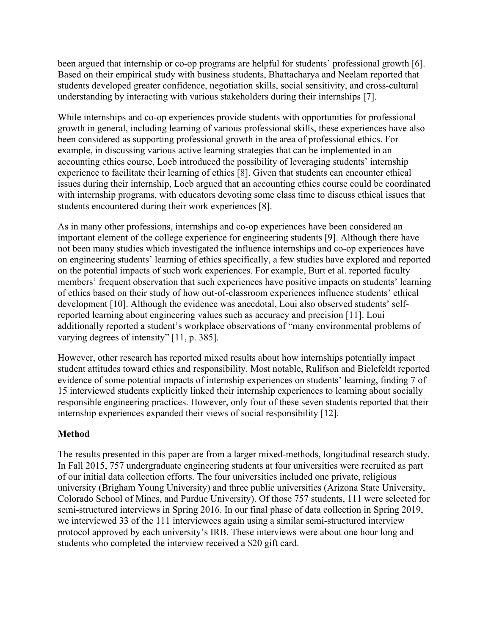been argued that internship or co-op programs are helpful for students' professional growth [6]. Based on their empirical study with business students, Bhattacharya and Neelam reported that students developed greater confidence, negotiation skills, social sensitivity, and cross-cultural understanding by interacting with various stakeholders during their internships [7].

While internships and co-op experiences provide students with opportunities for professional growth in general, including learning of various professional skills, these experiences have also been considered as supporting professional growth in the area of professional ethics. For example, in discussing various active learning strategies that can be implemented in an accounting ethics course, Loeb introduced the possibility of leveraging students' internship experience to facilitate their learning of ethics [8]. Given that students can encounter ethical issues during their internship, Loeb argued that an accounting ethics course could be coordinated with internship programs, with educators devoting some class time to discuss ethical issues that students encountered during their work experiences [8].

As in many other professions, internships and co-op experiences have been considered an important element of the college experience for engineering students [9]. Although there have not been many studies which investigated the influence internships and co-op experiences have on engineering students' learning of ethics specifically, a few studies have explored and reported on the potential impacts of such work experiences. For example, Burt et al. reported faculty members' frequent observation that such experiences have positive impacts on students' learning of ethics based on their study of how out-of-classroom experiences influence students' ethical development [10]. Although the evidence was anecdotal, Loui also observed students' selfreported learning about engineering values such as accuracy and precision [11]. Loui additionally reported a student's workplace observations of "many environmental problems of varying degrees of intensity" [11, p. 385].

However, other research has reported mixed results about how internships potentially impact student attitudes toward ethics and responsibility. Most notable, Rulifson and Bielefeldt reported evidence of some potential impacts of internship experiences on students' learning, finding 7 of 15 interviewed students explicitly linked their internship experiences to learning about socially responsible engineering practices. However, only four of these seven students reported that their internship experiences expanded their views of social responsibility [12].

## **Method**

The results presented in this paper are from a larger mixed-methods, longitudinal research study. In Fall 2015, 757 undergraduate engineering students at four universities were recruited as part of our initial data collection efforts. The four universities included one private, religious university (Brigham Young University) and three public universities (Arizona State University, Colorado School of Mines, and Purdue University). Of those 757 students, 111 were selected for semi-structured interviews in Spring 2016. In our final phase of data collection in Spring 2019, we interviewed 33 of the 111 interviewees again using a similar semi-structured interview protocol approved by each university's IRB. These interviews were about one hour long and students who completed the interview received a \$20 gift card.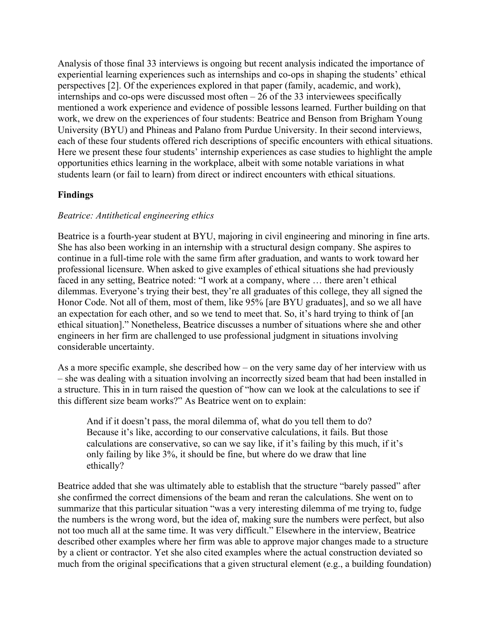Analysis of those final 33 interviews is ongoing but recent analysis indicated the importance of experiential learning experiences such as internships and co-ops in shaping the students' ethical perspectives [2]. Of the experiences explored in that paper (family, academic, and work), internships and co-ops were discussed most often  $-26$  of the 33 interviewees specifically mentioned a work experience and evidence of possible lessons learned. Further building on that work, we drew on the experiences of four students: Beatrice and Benson from Brigham Young University (BYU) and Phineas and Palano from Purdue University. In their second interviews, each of these four students offered rich descriptions of specific encounters with ethical situations. Here we present these four students' internship experiences as case studies to highlight the ample opportunities ethics learning in the workplace, albeit with some notable variations in what students learn (or fail to learn) from direct or indirect encounters with ethical situations.

## **Findings**

#### *Beatrice: Antithetical engineering ethics*

Beatrice is a fourth-year student at BYU, majoring in civil engineering and minoring in fine arts. She has also been working in an internship with a structural design company. She aspires to continue in a full-time role with the same firm after graduation, and wants to work toward her professional licensure. When asked to give examples of ethical situations she had previously faced in any setting, Beatrice noted: "I work at a company, where … there aren't ethical dilemmas. Everyone's trying their best, they're all graduates of this college, they all signed the Honor Code. Not all of them, most of them, like 95% [are BYU graduates], and so we all have an expectation for each other, and so we tend to meet that. So, it's hard trying to think of [an ethical situation]." Nonetheless, Beatrice discusses a number of situations where she and other engineers in her firm are challenged to use professional judgment in situations involving considerable uncertainty.

As a more specific example, she described how – on the very same day of her interview with us – she was dealing with a situation involving an incorrectly sized beam that had been installed in a structure. This in in turn raised the question of "how can we look at the calculations to see if this different size beam works?" As Beatrice went on to explain:

And if it doesn't pass, the moral dilemma of, what do you tell them to do? Because it's like, according to our conservative calculations, it fails. But those calculations are conservative, so can we say like, if it's failing by this much, if it's only failing by like 3%, it should be fine, but where do we draw that line ethically?

Beatrice added that she was ultimately able to establish that the structure "barely passed" after she confirmed the correct dimensions of the beam and reran the calculations. She went on to summarize that this particular situation "was a very interesting dilemma of me trying to, fudge the numbers is the wrong word, but the idea of, making sure the numbers were perfect, but also not too much all at the same time. It was very difficult." Elsewhere in the interview, Beatrice described other examples where her firm was able to approve major changes made to a structure by a client or contractor. Yet she also cited examples where the actual construction deviated so much from the original specifications that a given structural element (e.g., a building foundation)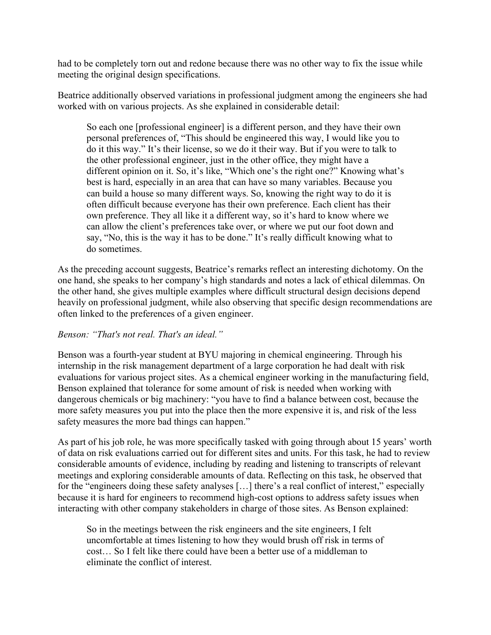had to be completely torn out and redone because there was no other way to fix the issue while meeting the original design specifications.

Beatrice additionally observed variations in professional judgment among the engineers she had worked with on various projects. As she explained in considerable detail:

So each one [professional engineer] is a different person, and they have their own personal preferences of, "This should be engineered this way, I would like you to do it this way." It's their license, so we do it their way. But if you were to talk to the other professional engineer, just in the other office, they might have a different opinion on it. So, it's like, "Which one's the right one?" Knowing what's best is hard, especially in an area that can have so many variables. Because you can build a house so many different ways. So, knowing the right way to do it is often difficult because everyone has their own preference. Each client has their own preference. They all like it a different way, so it's hard to know where we can allow the client's preferences take over, or where we put our foot down and say, "No, this is the way it has to be done." It's really difficult knowing what to do sometimes.

As the preceding account suggests, Beatrice's remarks reflect an interesting dichotomy. On the one hand, she speaks to her company's high standards and notes a lack of ethical dilemmas. On the other hand, she gives multiple examples where difficult structural design decisions depend heavily on professional judgment, while also observing that specific design recommendations are often linked to the preferences of a given engineer.

#### *Benson: "That's not real. That's an ideal."*

Benson was a fourth-year student at BYU majoring in chemical engineering. Through his internship in the risk management department of a large corporation he had dealt with risk evaluations for various project sites. As a chemical engineer working in the manufacturing field, Benson explained that tolerance for some amount of risk is needed when working with dangerous chemicals or big machinery: "you have to find a balance between cost, because the more safety measures you put into the place then the more expensive it is, and risk of the less safety measures the more bad things can happen."

As part of his job role, he was more specifically tasked with going through about 15 years' worth of data on risk evaluations carried out for different sites and units. For this task, he had to review considerable amounts of evidence, including by reading and listening to transcripts of relevant meetings and exploring considerable amounts of data. Reflecting on this task, he observed that for the "engineers doing these safety analyses […] there's a real conflict of interest," especially because it is hard for engineers to recommend high-cost options to address safety issues when interacting with other company stakeholders in charge of those sites. As Benson explained:

So in the meetings between the risk engineers and the site engineers, I felt uncomfortable at times listening to how they would brush off risk in terms of cost… So I felt like there could have been a better use of a middleman to eliminate the conflict of interest.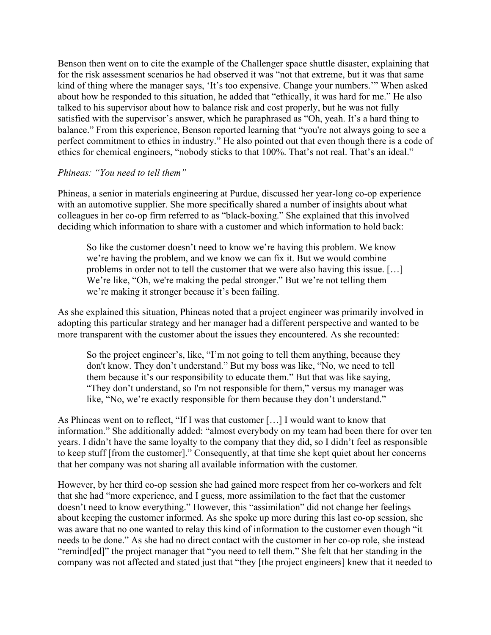Benson then went on to cite the example of the Challenger space shuttle disaster, explaining that for the risk assessment scenarios he had observed it was "not that extreme, but it was that same kind of thing where the manager says, 'It's too expensive. Change your numbers.'" When asked about how he responded to this situation, he added that "ethically, it was hard for me." He also talked to his supervisor about how to balance risk and cost properly, but he was not fully satisfied with the supervisor's answer, which he paraphrased as "Oh, yeah. It's a hard thing to balance." From this experience, Benson reported learning that "you're not always going to see a perfect commitment to ethics in industry." He also pointed out that even though there is a code of ethics for chemical engineers, "nobody sticks to that 100%. That's not real. That's an ideal."

#### *Phineas: "You need to tell them"*

Phineas, a senior in materials engineering at Purdue, discussed her year-long co-op experience with an automotive supplier. She more specifically shared a number of insights about what colleagues in her co-op firm referred to as "black-boxing." She explained that this involved deciding which information to share with a customer and which information to hold back:

So like the customer doesn't need to know we're having this problem. We know we're having the problem, and we know we can fix it. But we would combine problems in order not to tell the customer that we were also having this issue. […] We're like, "Oh, we're making the pedal stronger." But we're not telling them we're making it stronger because it's been failing.

As she explained this situation, Phineas noted that a project engineer was primarily involved in adopting this particular strategy and her manager had a different perspective and wanted to be more transparent with the customer about the issues they encountered. As she recounted:

So the project engineer's, like, "I'm not going to tell them anything, because they don't know. They don't understand." But my boss was like, "No, we need to tell them because it's our responsibility to educate them." But that was like saying, "They don't understand, so I'm not responsible for them," versus my manager was like, "No, we're exactly responsible for them because they don't understand."

As Phineas went on to reflect, "If I was that customer […] I would want to know that information." She additionally added: "almost everybody on my team had been there for over ten years. I didn't have the same loyalty to the company that they did, so I didn't feel as responsible to keep stuff [from the customer]." Consequently, at that time she kept quiet about her concerns that her company was not sharing all available information with the customer.

However, by her third co-op session she had gained more respect from her co-workers and felt that she had "more experience, and I guess, more assimilation to the fact that the customer doesn't need to know everything." However, this "assimilation" did not change her feelings about keeping the customer informed. As she spoke up more during this last co-op session, she was aware that no one wanted to relay this kind of information to the customer even though "it needs to be done." As she had no direct contact with the customer in her co-op role, she instead "remind[ed]" the project manager that "you need to tell them." She felt that her standing in the company was not affected and stated just that "they [the project engineers] knew that it needed to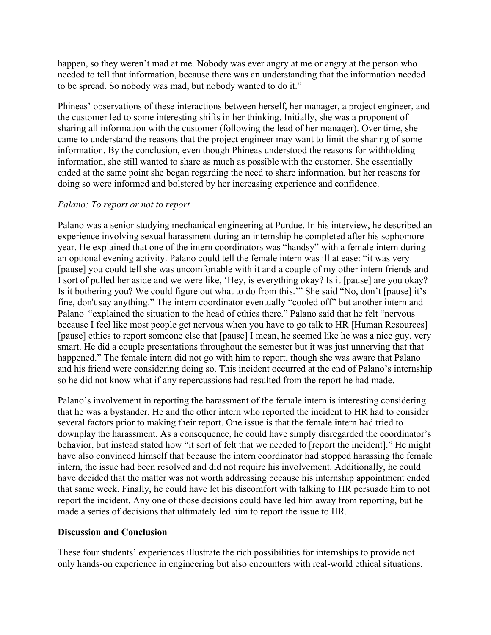happen, so they weren't mad at me. Nobody was ever angry at me or angry at the person who needed to tell that information, because there was an understanding that the information needed to be spread. So nobody was mad, but nobody wanted to do it."

Phineas' observations of these interactions between herself, her manager, a project engineer, and the customer led to some interesting shifts in her thinking. Initially, she was a proponent of sharing all information with the customer (following the lead of her manager). Over time, she came to understand the reasons that the project engineer may want to limit the sharing of some information. By the conclusion, even though Phineas understood the reasons for withholding information, she still wanted to share as much as possible with the customer. She essentially ended at the same point she began regarding the need to share information, but her reasons for doing so were informed and bolstered by her increasing experience and confidence.

#### *Palano: To report or not to report*

Palano was a senior studying mechanical engineering at Purdue. In his interview, he described an experience involving sexual harassment during an internship he completed after his sophomore year. He explained that one of the intern coordinators was "handsy" with a female intern during an optional evening activity. Palano could tell the female intern was ill at ease: "it was very [pause] you could tell she was uncomfortable with it and a couple of my other intern friends and I sort of pulled her aside and we were like, 'Hey, is everything okay? Is it [pause] are you okay? Is it bothering you? We could figure out what to do from this.'" She said "No, don't [pause] it's fine, don't say anything." The intern coordinator eventually "cooled off" but another intern and Palano "explained the situation to the head of ethics there." Palano said that he felt "nervous because I feel like most people get nervous when you have to go talk to HR [Human Resources] [pause] ethics to report someone else that [pause] I mean, he seemed like he was a nice guy, very smart. He did a couple presentations throughout the semester but it was just unnerving that that happened." The female intern did not go with him to report, though she was aware that Palano and his friend were considering doing so. This incident occurred at the end of Palano's internship so he did not know what if any repercussions had resulted from the report he had made.

Palano's involvement in reporting the harassment of the female intern is interesting considering that he was a bystander. He and the other intern who reported the incident to HR had to consider several factors prior to making their report. One issue is that the female intern had tried to downplay the harassment. As a consequence, he could have simply disregarded the coordinator's behavior, but instead stated how "it sort of felt that we needed to [report the incident]." He might have also convinced himself that because the intern coordinator had stopped harassing the female intern, the issue had been resolved and did not require his involvement. Additionally, he could have decided that the matter was not worth addressing because his internship appointment ended that same week. Finally, he could have let his discomfort with talking to HR persuade him to not report the incident. Any one of those decisions could have led him away from reporting, but he made a series of decisions that ultimately led him to report the issue to HR.

#### **Discussion and Conclusion**

These four students' experiences illustrate the rich possibilities for internships to provide not only hands-on experience in engineering but also encounters with real-world ethical situations.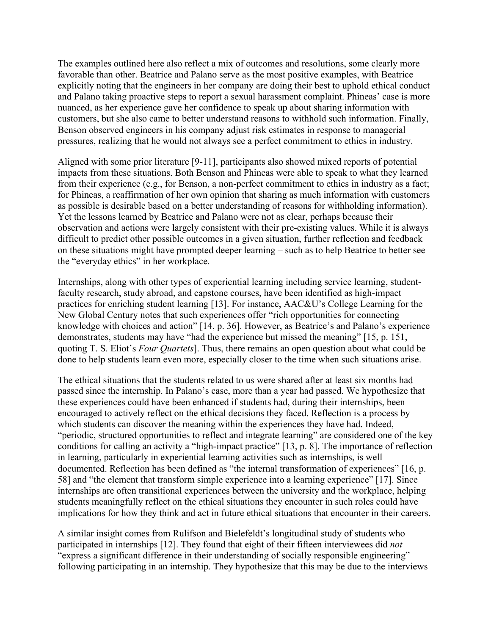The examples outlined here also reflect a mix of outcomes and resolutions, some clearly more favorable than other. Beatrice and Palano serve as the most positive examples, with Beatrice explicitly noting that the engineers in her company are doing their best to uphold ethical conduct and Palano taking proactive steps to report a sexual harassment complaint. Phineas' case is more nuanced, as her experience gave her confidence to speak up about sharing information with customers, but she also came to better understand reasons to withhold such information. Finally, Benson observed engineers in his company adjust risk estimates in response to managerial pressures, realizing that he would not always see a perfect commitment to ethics in industry.

Aligned with some prior literature [9-11], participants also showed mixed reports of potential impacts from these situations. Both Benson and Phineas were able to speak to what they learned from their experience (e.g., for Benson, a non-perfect commitment to ethics in industry as a fact; for Phineas, a reaffirmation of her own opinion that sharing as much information with customers as possible is desirable based on a better understanding of reasons for withholding information). Yet the lessons learned by Beatrice and Palano were not as clear, perhaps because their observation and actions were largely consistent with their pre-existing values. While it is always difficult to predict other possible outcomes in a given situation, further reflection and feedback on these situations might have prompted deeper learning – such as to help Beatrice to better see the "everyday ethics" in her workplace.

Internships, along with other types of experiential learning including service learning, studentfaculty research, study abroad, and capstone courses, have been identified as high-impact practices for enriching student learning [13]. For instance, AAC&U's College Learning for the New Global Century notes that such experiences offer "rich opportunities for connecting knowledge with choices and action" [14, p. 36]. However, as Beatrice's and Palano's experience demonstrates, students may have "had the experience but missed the meaning" [15, p. 151, quoting T. S. Eliot's *Four Quartets*]. Thus, there remains an open question about what could be done to help students learn even more, especially closer to the time when such situations arise.

The ethical situations that the students related to us were shared after at least six months had passed since the internship. In Palano's case, more than a year had passed. We hypothesize that these experiences could have been enhanced if students had, during their internships, been encouraged to actively reflect on the ethical decisions they faced. Reflection is a process by which students can discover the meaning within the experiences they have had. Indeed, "periodic, structured opportunities to reflect and integrate learning" are considered one of the key conditions for calling an activity a "high-impact practice" [13, p. 8]. The importance of reflection in learning, particularly in experiential learning activities such as internships, is well documented. Reflection has been defined as "the internal transformation of experiences" [16, p. 58] and "the element that transform simple experience into a learning experience" [17]. Since internships are often transitional experiences between the university and the workplace, helping students meaningfully reflect on the ethical situations they encounter in such roles could have implications for how they think and act in future ethical situations that encounter in their careers.

A similar insight comes from Rulifson and Bielefeldt's longitudinal study of students who participated in internships [12]. They found that eight of their fifteen interviewees did *not* "express a significant difference in their understanding of socially responsible engineering" following participating in an internship. They hypothesize that this may be due to the interviews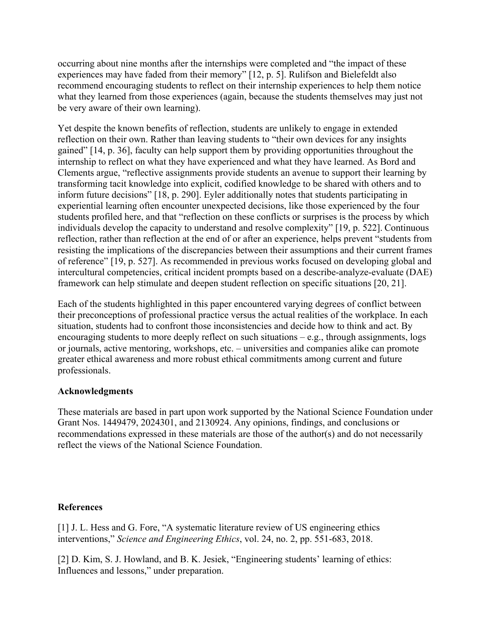occurring about nine months after the internships were completed and "the impact of these experiences may have faded from their memory" [12, p. 5]. Rulifson and Bielefeldt also recommend encouraging students to reflect on their internship experiences to help them notice what they learned from those experiences (again, because the students themselves may just not be very aware of their own learning).

Yet despite the known benefits of reflection, students are unlikely to engage in extended reflection on their own. Rather than leaving students to "their own devices for any insights gained" [14, p. 36], faculty can help support them by providing opportunities throughout the internship to reflect on what they have experienced and what they have learned. As Bord and Clements argue, "reflective assignments provide students an avenue to support their learning by transforming tacit knowledge into explicit, codified knowledge to be shared with others and to inform future decisions" [18, p. 290]. Eyler additionally notes that students participating in experiential learning often encounter unexpected decisions, like those experienced by the four students profiled here, and that "reflection on these conflicts or surprises is the process by which individuals develop the capacity to understand and resolve complexity" [19, p. 522]. Continuous reflection, rather than reflection at the end of or after an experience, helps prevent "students from resisting the implications of the discrepancies between their assumptions and their current frames of reference" [19, p. 527]. As recommended in previous works focused on developing global and intercultural competencies, critical incident prompts based on a describe-analyze-evaluate (DAE) framework can help stimulate and deepen student reflection on specific situations [20, 21].

Each of the students highlighted in this paper encountered varying degrees of conflict between their preconceptions of professional practice versus the actual realities of the workplace. In each situation, students had to confront those inconsistencies and decide how to think and act. By encouraging students to more deeply reflect on such situations  $-$  e.g., through assignments, logs or journals, active mentoring, workshops, etc. – universities and companies alike can promote greater ethical awareness and more robust ethical commitments among current and future professionals.

## **Acknowledgments**

These materials are based in part upon work supported by the National Science Foundation under Grant Nos. 1449479, 2024301, and 2130924. Any opinions, findings, and conclusions or recommendations expressed in these materials are those of the author(s) and do not necessarily reflect the views of the National Science Foundation.

## **References**

[1] J. L. Hess and G. Fore, "A systematic literature review of US engineering ethics interventions," *Science and Engineering Ethics*, vol. 24, no. 2, pp. 551-683, 2018.

[2] D. Kim, S. J. Howland, and B. K. Jesiek, "Engineering students' learning of ethics: Influences and lessons," under preparation.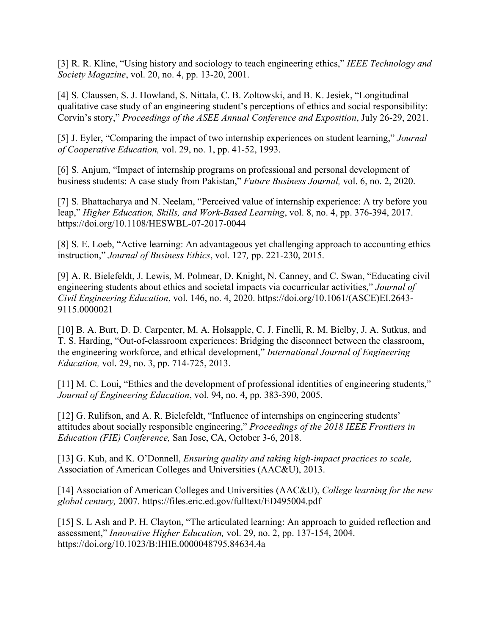[3] R. R. Kline, "Using history and sociology to teach engineering ethics," *IEEE Technology and Society Magazine*, vol. 20, no. 4, pp. 13-20, 2001.

[4] S. Claussen, S. J. Howland, S. Nittala, C. B. Zoltowski, and B. K. Jesiek, "Longitudinal qualitative case study of an engineering student's perceptions of ethics and social responsibility: Corvin's story," *Proceedings of the ASEE Annual Conference and Exposition*, July 26-29, 2021.

[5] J. Eyler, "Comparing the impact of two internship experiences on student learning," *Journal of Cooperative Education,* vol. 29, no. 1, pp. 41-52, 1993.

[6] S. Anjum, "Impact of internship programs on professional and personal development of business students: A case study from Pakistan," *Future Business Journal,* vol. 6, no. 2, 2020.

[7] S. Bhattacharya and N. Neelam, "Perceived value of internship experience: A try before you leap," *Higher Education, Skills, and Work-Based Learning*, vol. 8, no. 4, pp. 376-394, 2017. https://doi.org/10.1108/HESWBL-07-2017-0044

[8] S. E. Loeb, "Active learning: An advantageous yet challenging approach to accounting ethics instruction," *Journal of Business Ethics*, vol. 127*,* pp. 221-230, 2015.

[9] A. R. Bielefeldt, J. Lewis, M. Polmear, D. Knight, N. Canney, and C. Swan, "Educating civil engineering students about ethics and societal impacts via cocurricular activities," *Journal of Civil Engineering Education*, vol. 146, no. 4, 2020. https://doi.org/10.1061/(ASCE)EI.2643- 9115.0000021

[10] B. A. Burt, D. D. Carpenter, M. A. Holsapple, C. J. Finelli, R. M. Bielby, J. A. Sutkus, and T. S. Harding, "Out-of-classroom experiences: Bridging the disconnect between the classroom, the engineering workforce, and ethical development," *International Journal of Engineering Education,* vol. 29, no. 3, pp. 714-725, 2013.

[11] M. C. Loui, "Ethics and the development of professional identities of engineering students," *Journal of Engineering Education*, vol. 94, no. 4, pp. 383-390, 2005.

[12] G. Rulifson, and A. R. Bielefeldt, "Influence of internships on engineering students' attitudes about socially responsible engineering," *Proceedings of the 2018 IEEE Frontiers in Education (FIE) Conference,* San Jose, CA, October 3-6, 2018.

[13] G. Kuh, and K. O'Donnell, *Ensuring quality and taking high-impact practices to scale,* Association of American Colleges and Universities (AAC&U), 2013.

[14] Association of American Colleges and Universities (AAC&U), *College learning for the new global century,* 2007. https://files.eric.ed.gov/fulltext/ED495004.pdf

[15] S. L Ash and P. H. Clayton, "The articulated learning: An approach to guided reflection and assessment," *Innovative Higher Education,* vol. 29, no. 2, pp. 137-154, 2004. https://doi.org/10.1023/B:IHIE.0000048795.84634.4a